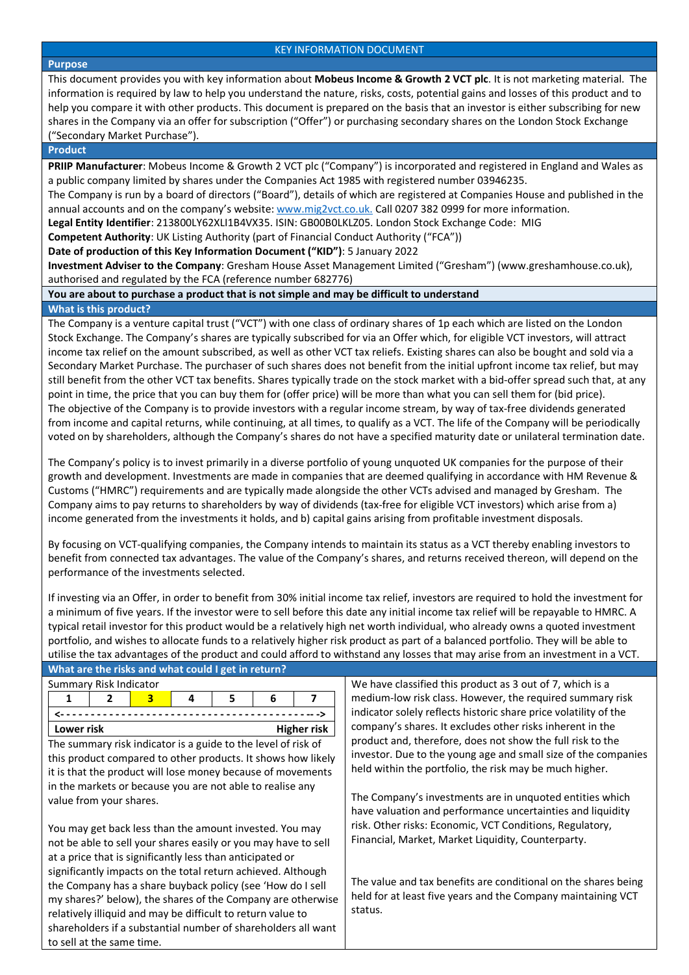#### **Purpose**

This document provides you with key information about **Mobeus Income & Growth 2 VCT plc**. It is not marketing material. The information is required by law to help you understand the nature, risks, costs, potential gains and losses of this product and to help you compare it with other products. This document is prepared on the basis that an investor is either subscribing for new shares in the Company via an offer for subscription ("Offer") or purchasing secondary shares on the London Stock Exchange ("Secondary Market Purchase").

### **Product**

**PRIIP Manufacturer**: Mobeus Income & Growth 2 VCT plc ("Company") is incorporated and registered in England and Wales as a public company limited by shares under the Companies Act 1985 with registered number 03946235.

The Company is run by a board of directors ("Board"), details of which are registered at Companies House and published in the annual accounts and on the company's website[: www.mig2vct.co.uk.](http://www.mig2vct.co.uk/) Call 0207 382 0999 for more information.

**Legal Entity Identifier**: 213800LY62XLI1B4VX35. ISIN: GB00B0LKLZ05. London Stock Exchange Code: MIG

**Competent Authority**: UK Listing Authority (part of Financial Conduct Authority ("FCA"))

**Date of production of this Key Information Document ("KID")**: 5 January 2022

**Investment Adviser to the Company**: Gresham House Asset Management Limited ("Gresham") (www.greshamhouse.co.uk), authorised and regulated by the FCA (reference number 682776)

# **You are about to purchase a product that is not simple and may be difficult to understand**

## **What is this product?**

The Company is a venture capital trust ("VCT") with one class of ordinary shares of 1p each which are listed on the London Stock Exchange. The Company's shares are typically subscribed for via an Offer which, for eligible VCT investors, will attract income tax relief on the amount subscribed, as well as other VCT tax reliefs. Existing shares can also be bought and sold via a Secondary Market Purchase. The purchaser of such shares does not benefit from the initial upfront income tax relief, but may still benefit from the other VCT tax benefits. Shares typically trade on the stock market with a bid-offer spread such that, at any point in time, the price that you can buy them for (offer price) will be more than what you can sell them for (bid price). The objective of the Company is to provide investors with a regular income stream, by way of tax-free dividends generated from income and capital returns, while continuing, at all times, to qualify as a VCT. The life of the Company will be periodically voted on by shareholders, although the Company's shares do not have a specified maturity date or unilateral termination date.

The Company's policy is to invest primarily in a diverse portfolio of young unquoted UK companies for the purpose of their growth and development. Investments are made in companies that are deemed qualifying in accordance with HM Revenue & Customs ("HMRC") requirements and are typically made alongside the other VCTs advised and managed by Gresham. The Company aims to pay returns to shareholders by way of dividends (tax-free for eligible VCT investors) which arise from a) income generated from the investments it holds, and b) capital gains arising from profitable investment disposals.

By focusing on VCT-qualifying companies, the Company intends to maintain its status as a VCT thereby enabling investors to benefit from connected tax advantages. The value of the Company's shares, and returns received thereon, will depend on the performance of the investments selected.

If investing via an Offer, in order to benefit from 30% initial income tax relief, investors are required to hold the investment for a minimum of five years. If the investor were to sell before this date any initial income tax relief will be repayable to HMRC. A typical retail investor for this product would be a relatively high net worth individual, who already owns a quoted investment portfolio, and wishes to allocate funds to a relatively higher risk product as part of a balanced portfolio. They will be able to utilise the tax advantages of the product and could afford to withstand any losses that may arise from an investment in a VCT.

|                                                                | What are the risks and what could I get in return?            |   |    |                                                              |    |   |                                                                                                                              |                                                                                                                                |                                                                  |  |  |  |
|----------------------------------------------------------------|---------------------------------------------------------------|---|----|--------------------------------------------------------------|----|---|------------------------------------------------------------------------------------------------------------------------------|--------------------------------------------------------------------------------------------------------------------------------|------------------------------------------------------------------|--|--|--|
|                                                                | Summary Risk Indicator                                        |   |    |                                                              |    |   |                                                                                                                              | We have classified this product as 3 out of 7, which is a                                                                      |                                                                  |  |  |  |
|                                                                | 1                                                             | 2 | 3. | 4                                                            | 5. | 6 | 7                                                                                                                            |                                                                                                                                | medium-low risk class. However, the required summary risk        |  |  |  |
|                                                                |                                                               |   |    |                                                              |    |   |                                                                                                                              |                                                                                                                                | indicator solely reflects historic share price volatility of the |  |  |  |
| <b>Higher risk</b><br>Lower risk                               |                                                               |   |    |                                                              |    |   |                                                                                                                              |                                                                                                                                | company's shares. It excludes other risks inherent in the        |  |  |  |
| The summary risk indicator is a guide to the level of risk of  |                                                               |   |    |                                                              |    |   | product and, therefore, does not show the full risk to the<br>investor. Due to the young age and small size of the companies |                                                                                                                                |                                                                  |  |  |  |
| this product compared to other products. It shows how likely   |                                                               |   |    |                                                              |    |   |                                                                                                                              |                                                                                                                                |                                                                  |  |  |  |
| it is that the product will lose money because of movements    |                                                               |   |    |                                                              |    |   |                                                                                                                              | held within the portfolio, the risk may be much higher.                                                                        |                                                                  |  |  |  |
|                                                                |                                                               |   |    | in the markets or because you are not able to realise any    |    |   |                                                                                                                              |                                                                                                                                |                                                                  |  |  |  |
|                                                                | value from your shares.                                       |   |    |                                                              |    |   |                                                                                                                              |                                                                                                                                | The Company's investments are in unquoted entities which         |  |  |  |
|                                                                |                                                               |   |    |                                                              |    |   |                                                                                                                              |                                                                                                                                | have valuation and performance uncertainties and liquidity       |  |  |  |
| You may get back less than the amount invested. You may        |                                                               |   |    |                                                              |    |   |                                                                                                                              | risk. Other risks: Economic, VCT Conditions, Regulatory,                                                                       |                                                                  |  |  |  |
| not be able to sell your shares easily or you may have to sell |                                                               |   |    |                                                              |    |   |                                                                                                                              | Financial, Market, Market Liquidity, Counterparty.                                                                             |                                                                  |  |  |  |
| at a price that is significantly less than anticipated or      |                                                               |   |    |                                                              |    |   |                                                                                                                              |                                                                                                                                |                                                                  |  |  |  |
|                                                                |                                                               |   |    | significantly impacts on the total return achieved. Although |    |   |                                                                                                                              |                                                                                                                                |                                                                  |  |  |  |
| the Company has a share buyback policy (see 'How do I sell     |                                                               |   |    |                                                              |    |   |                                                                                                                              | The value and tax benefits are conditional on the shares being<br>held for at least five years and the Company maintaining VCT |                                                                  |  |  |  |
| my shares?' below), the shares of the Company are otherwise    |                                                               |   |    |                                                              |    |   |                                                                                                                              |                                                                                                                                |                                                                  |  |  |  |
| relatively illiquid and may be difficult to return value to    |                                                               |   |    |                                                              |    |   |                                                                                                                              | status.                                                                                                                        |                                                                  |  |  |  |
|                                                                | shareholders if a substantial number of shareholders all want |   |    |                                                              |    |   |                                                                                                                              |                                                                                                                                |                                                                  |  |  |  |
| to sell at the same time.                                      |                                                               |   |    |                                                              |    |   |                                                                                                                              |                                                                                                                                |                                                                  |  |  |  |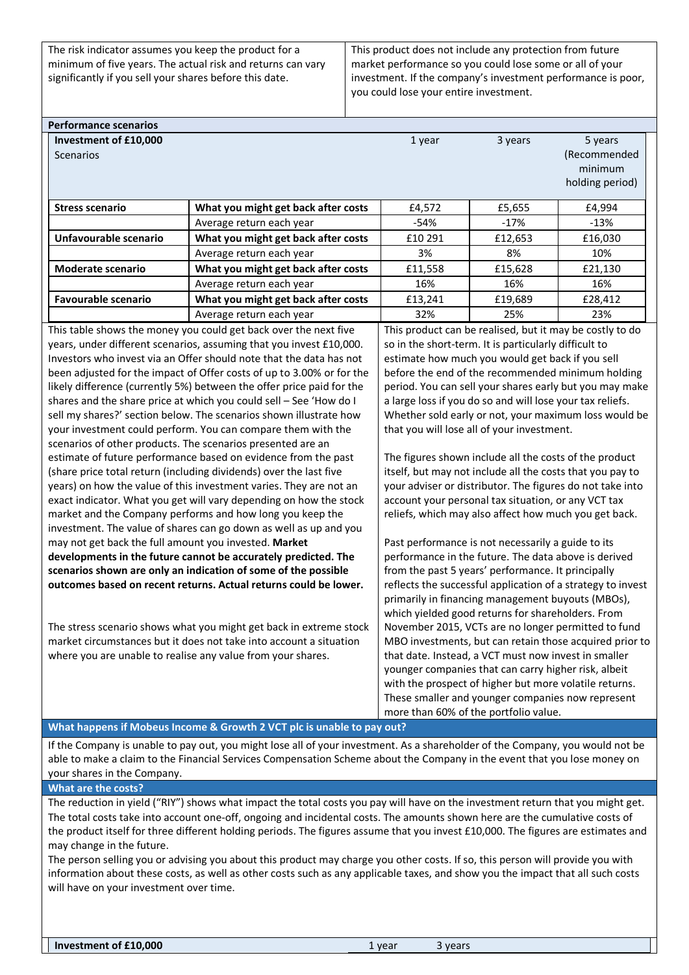The risk indicator assumes you keep the product for a minimum of five years. The actual risk and returns can vary significantly if you sell your shares before this date.

This product does not include any protection from future market performance so you could lose some or all of your investment. If the company's investment performance is poor, you could lose your entire investment.

| <b>Performance scenarios</b>              |                                                           |         |         |                                                       |  |  |
|-------------------------------------------|-----------------------------------------------------------|---------|---------|-------------------------------------------------------|--|--|
| Investment of £10,000<br><b>Scenarios</b> |                                                           | 1 year  | 3 years | 5 years<br>(Recommended<br>minimum<br>holding period) |  |  |
| <b>Stress scenario</b>                    | What you might get back after costs                       | £4,572  | £5,655  | £4,994                                                |  |  |
|                                           | Average return each year                                  | -54%    | -17%    | $-13%$                                                |  |  |
| Unfavourable scenario                     | What you might get back after costs                       | £10 291 | £12,653 | £16,030                                               |  |  |
|                                           | Average return each year                                  | 3%      | 8%      | 10%                                                   |  |  |
| <b>Moderate scenario</b>                  | What you might get back after costs                       | £11,558 | £15,628 | £21,130                                               |  |  |
|                                           | Average return each year                                  | 16%     | 16%     | 16%                                                   |  |  |
| <b>Favourable scenario</b>                | What you might get back after costs                       | £13,241 | £19,689 | £28,412                                               |  |  |
|                                           | Average return each year                                  | 32%     | 25%     | 23%                                                   |  |  |
|                                           | 그 사람들은 그 사람들은 그 사람들을 지나 그 사람들을 지나 사람들을 지나 않는 것을 사용할 수 없다. |         | .       |                                                       |  |  |

This table shows the money you could get back over the next five years, under different scenarios, assuming that you invest £10,000. Investors who invest via an Offer should note that the data has not been adjusted for the impact of Offer costs of up to 3.00% or for the likely difference (currently 5%) between the offer price paid for the shares and the share price at which you could sell – See 'How do I sell my shares?' section below. The scenarios shown illustrate how your investment could perform. You can compare them with the scenarios of other products. The scenarios presented are an estimate of future performance based on evidence from the past (share price total return (including dividends) over the last five years) on how the value of this investment varies. They are not an exact indicator. What you get will vary depending on how the stock market and the Company performs and how long you keep the investment. The value of shares can go down as well as up and you may not get back the full amount you invested. **Market developments in the future cannot be accurately predicted. The scenarios shown are only an indication of some of the possible outcomes based on recent returns. Actual returns could be lower.**

The stress scenario shows what you might get back in extreme stock market circumstances but it does not take into account a situation where you are unable to realise any value from your shares.

This product can be realised, but it may be costly to do so in the short-term. It is particularly difficult to estimate how much you would get back if you sell before the end of the recommended minimum holding period. You can sell your shares early but you may make a large loss if you do so and will lose your tax reliefs. Whether sold early or not, your maximum loss would be that you will lose all of your investment.

The figures shown include all the costs of the product itself, but may not include all the costs that you pay to your adviser or distributor. The figures do not take into account your personal tax situation, or any VCT tax reliefs, which may also affect how much you get back.

Past performance is not necessarily a guide to its performance in the future. The data above is derived from the past 5 years' performance. It principally reflects the successful application of a strategy to invest primarily in financing management buyouts (MBOs), which yielded good returns for shareholders. From November 2015, VCTs are no longer permitted to fund MBO investments, but can retain those acquired prior to that date. Instead, a VCT must now invest in smaller younger companies that can carry higher risk, albeit with the prospect of higher but more volatile returns. These smaller and younger companies now represent more than 60% of the portfolio value.

### **What happens if Mobeus Income & Growth 2 VCT plc is unable to pay out?**

If the Company is unable to pay out, you might lose all of your investment. As a shareholder of the Company, you would not be able to make a claim to the Financial Services Compensation Scheme about the Company in the event that you lose money on your shares in the Company.

**What are the costs?**

The reduction in yield ("RIY") shows what impact the total costs you pay will have on the investment return that you might get. The total costs take into account one-off, ongoing and incidental costs. The amounts shown here are the cumulative costs of the product itself for three different holding periods. The figures assume that you invest £10,000. The figures are estimates and may change in the future.

The person selling you or advising you about this product may charge you other costs. If so, this person will provide you with information about these costs, as well as other costs such as any applicable taxes, and show you the impact that all such costs will have on your investment over time.